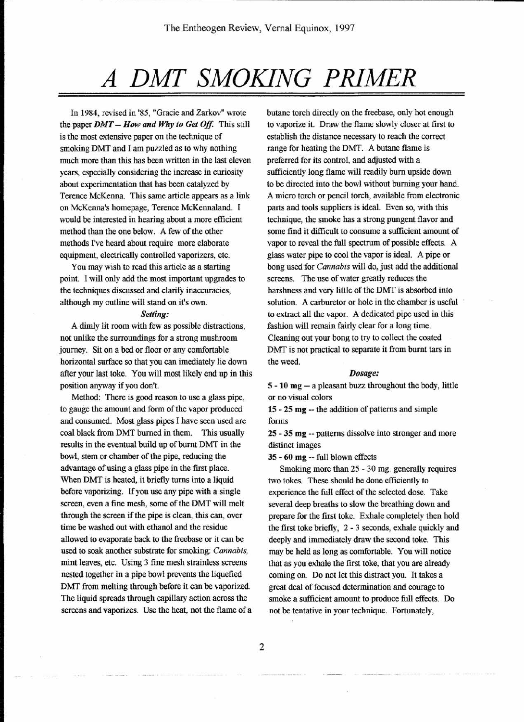# *A DMT SMOKING PRIMER*

In 1984, revised in '85, "Gracie and Zarkov" wrote the paper  $DMT - How$  and Why to Get Off. This still is the most extensive paper on the technique of smoking DMT and I am puzzled as to why nothing much more than this has been written in the last eleven years, especially considering the increase in curiosity about experimentation that has been catalyzed by Terence McKenna. This same article appears as a link on McKenna's homepage, Terence McKennaland. I would be interested in hearing about a more efficient method than the one below. A few of the other methods I've heard about require more elaborate equipment, electrically controlled vaporizers, etc.

You may wish to read this article as a starting point. I will only add the most important upgrades to the techniques discussed and clarify inaccuracies, although my outline will stand on it's own.

### *Setting:*

A dimly lit room with few as possible distractions, not unlike the surroundings for a strong mushroom journey. Sit on a bed or floor or any comfortable horizontal surface so that you can imediately lie down after your last toke. You will most likely end up in this position anyway if you don't.

Method: There is good reason to use a glass pipe, to gauge the amount and form of the vapor produced and consumed. Most glass pipes I have seen used are coal black from DMT burned in them. This usually results in the eventual build up of burnt DMT in the bowl, stem or chamber of the pipe, reducing the advantage of using a glass pipe in the first place. When DMT is heated, it briefly turns into a liquid before vaporizing. If you use any pipe with a single screen, even a fine mesh, some of the DMT will melt through the screen if the pipe is clean, this can, over time be washed out with ethanol and the residue allowed to evaporate back to the freebase or it can be used to soak another substrate for smoking: *Cannabis,* mint leaves, etc. Using 3 fine mesh strainless screens nested together in a pipe bowl prevents the liquefied DMT from melting through before it can be vaporized. The liquid spreads through capillary action across the screens and vaporizes. Use the heat, not the flame of a butane torch directly on the freebase, only hot enough to vaporize it. Draw the flame slowly closer at first to establish the distance necessary to reach the correct range for heating the DMT. A butane flame is preferred for its control, and adjusted with a sufficiently long flame will readily burn upside down to be directed into the bowl without burning your hand. A micro torch or pencil torch, available from electronic parts and tools suppliers is ideal. Even so, with this technique, the smoke has a strong pungent flavor and some find it difficult to consume a sufficient amount of vapor to reveal the full spectrum of possible effects. A glass water pipe to cool the vapor is ideal. A pipe or bong used for *Cannabis* will do, just add the additional screens. The use of water greatly reduces the harshness and very little of the DMT is absorbed into solution. A carburetor or hole in the chamber is useful to extract all the vapor. A dedicated pipe used in this fashion will remain fairly clear for a long time. Cleaning out your bong to try to collect the coated DMT is not practical to separate it from burnt tars in the weed.

#### *Dosage:*

5 - 10 mg -- a pleasant buzz throughout the body, little or no visual colors

15 - 25 mg -- the addition of patterns and simple forms

25 - 35 mg -- patterns dissolve into stronger and more distinct images

35 - 60 mg -- full blown effects

Smoking more than 25 - 30 mg. generally requires two tokes. These should be done efficiently to experience the full effect of the selected dose. Take several deep breaths to slow the breathing down and prepare for the first toke. Exhale completely then hold the first toke briefly, 2 - 3 seconds, exhale quickly and deeply and immediately draw the second toke. This may be held as long as comfortable. You will notice that as you exhale the first toke, that you are already coming on. Do not let this distract you. It takes a great deal of focused determination and courage to smoke a sufficient amount to produce full effects. Do not be tentative in your technique. Fortunately,